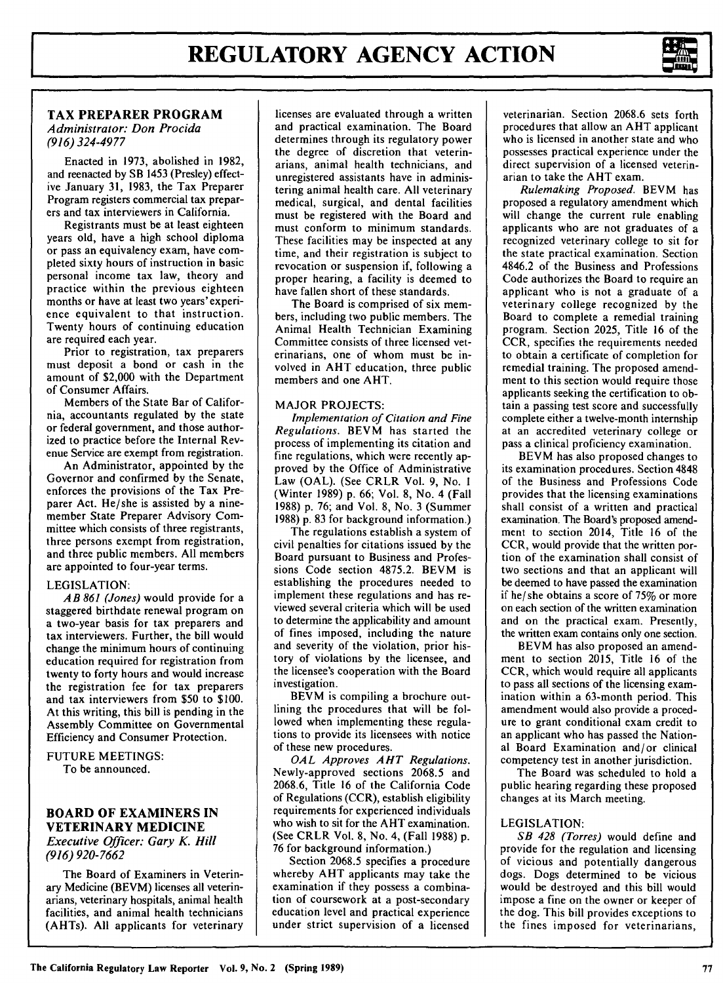

# **TAX PREPARER PROGRAM**  *Administrator: Don Procida (916) 324-4977*

Enacted in 1973, abolished in 1982, and reenacted by SB 1453 (Presley) effective January 31, 1983, the Tax Preparer Program registers commercial tax preparers and tax interviewers in California.

Registrants must be at least eighteen years old, have a high school diploma or pass an equivalency exam, have completed sixty hours of instruction in basic personal income tax law, theory and practice within the previous eighteen months or have at least two years' experience equivalent to that instruction. Twenty hours of continuing education are required each year.

Prior to registration, tax preparers must deposit a bond or cash in the amount of \$2,000 with the Department of Consumer Affairs.

Members of the State Bar of California, accountants regulated by the state or federal government, and those authorized to practice before the Internal Revenue Service are exempt from registration.

An Administrator, appointed by the Governor and confirmed by the Senate, enforces the provisions of the Tax Preparer Act. He/she is assisted by a ninemember State Preparer Advisory Committee which consists of three registrants, three persons exempt from registration, and three public members. All members are appointed to four-year terms.

# LEGISLATION:

*AB 861 (Jones)* would provide for a staggered birthdate renewal program on a two-year basis for tax preparers and tax interviewers. Further, the bill would change the minimum hours of continuing education required for registration from twenty to forty hours and would increase the registration fee for tax preparers and tax interviewers from \$50 to \$100. At this writing, this bill is pending in the Assembly Committee on Governmental Efficiency and Consumer Protection.

FUTURE MEETINGS: To be announced.

# **BOARD OF EXAMINERS IN VETERINARY MEDICINE**

*Executive Officer: Gary K. Hill (916) 920-7662* 

The Board of Examiners in Veterinary Medicine **(BEVM)** licenses all veterinarians, veterinary hospitals, animal health facilities, and animal health technicians **(AHTs). All** applicants for veterinary

licenses are evaluated through a written and practical examination. The Board determines through its regulatory power the degree of discretion that veterinarians, animal health technicians, and unregistered assistants have in administering animal health care. All veterinary medical, surgical, and dental facilities must be registered with the Board and must conform to minimum standards. These facilities may be inspected at any time, and their registration is subject to revocation or suspension if, following a proper hearing, a facility is deemed to have fallen short of these standards.

The Board is comprised of six members, including two public members. The Animal Health Technician Examining Committee consists of three licensed veterinarians, one of whom must be involved in AHT education, three public members and one AHT.

# MAJOR PROJECTS:

*Implementation of Citation and Fine Regulations.* BEVM has started the process of implementing its citation and fine regulations, which were recently approved by the Office of Administrative Law (OAL). (See CRLR Vol. 9, No. I (Winter 1989) p. 66; Vol. 8, No. 4 (Fall 1988) p. 76; and Vol. 8, No. 3 (Summer 1988) p. 83 for background information.)

The regulations establish a system of civil penalties for citations issued by the Board pursuant to Business and Professions Code section 4875.2. BEVM is establishing the procedures needed to implement these regulations and has reviewed several criteria which will be used to determine the applicability and amount of fines imposed, including the nature and severity of the violation, prior history of violations by the licensee, and the licensee's cooperation with the Board investigation.

BEVM is compiling a brochure outlining the procedures that will be followed when implementing these regulations to provide its licensees with notice of these new procedures.

*OAL Approves AHT Regulations.*  Newly-approved sections 2068.5 and 2068.6, Title 16 of the California Code of Regulations (CCR), establish eligibility requirements for experienced individuals who wish to sit for the AHT examination. (See **CRLR** Vol. 8, No. 4, (Fall 1988) p. 76 for background information.)

Section 2068.5 specifies a procedure whereby AHT applicants may take the examination if they possess a combination of coursework at a post-secondary education level and practical experience under strict supervision of a licensed

veterinarian. Section 2068.6 sets forth procedures that allow an AHT applicant who is licensed in another state and who possesses practical experience under the direct supervision of a licensed veterinarian to take the AHT exam.

*Rulemaking Proposed.* BEVM has proposed a regulatory amendment which will change the current rule enabling applicants who are not graduates of a recognized veterinary college to sit for the state practical examination. Section 4846.2 of the Business and Professions Code authorizes the Board to require an applicant who is not a graduate of a veterinary college recognized by the Board to complete a remedial training program. Section 2025, Title 16 of the CCR, specifies the requirements needed to obtain a certificate of completion for remedial training. The proposed amendment to this section would require those applicants seeking the certification to obtain a passing test score and successfully complete either a twelve-month internship at an accredited veterinary college or pass a clinical proficiency examination.

BEVM has also proposed changes to its examination procedures. Section 4848 of the Business and Professions Code provides that the licensing examinations shall consist of a written and practical examination. The Board's proposed amendment to section 2014, Title 16 of the CCR, would provide that the written portion of the examination shall consist of two sections and that an applicant will be deemed to have passed the examination if he/ she obtains a score of 75% or more on each section of the written examination and on the practical exam. Presently, the written exam contains only one section.

**BEVM** has also proposed an amendment to section 2015, Title 16 of the CCR, which would require all applicants to pass all sections of the licensing examination within a 63-month period. This amendment would also provide a procedure to grant conditional exam credit to an applicant who has passed the National Board Examination and/or clinical competency test in another jurisdiction.

The Board was scheduled to hold a public hearing regarding these proposed changes at its March meeting.

### LEGISLATION:

*SB 428 (Torres)* would define and provide for the regulation and licensing of vicious and potentially dangerous dogs. Dogs determined to be vicious would be destroyed and this bill would impose a fine on the owner or keeper of the dog. This bill provides exceptions to the fines imposed for veterinarians,